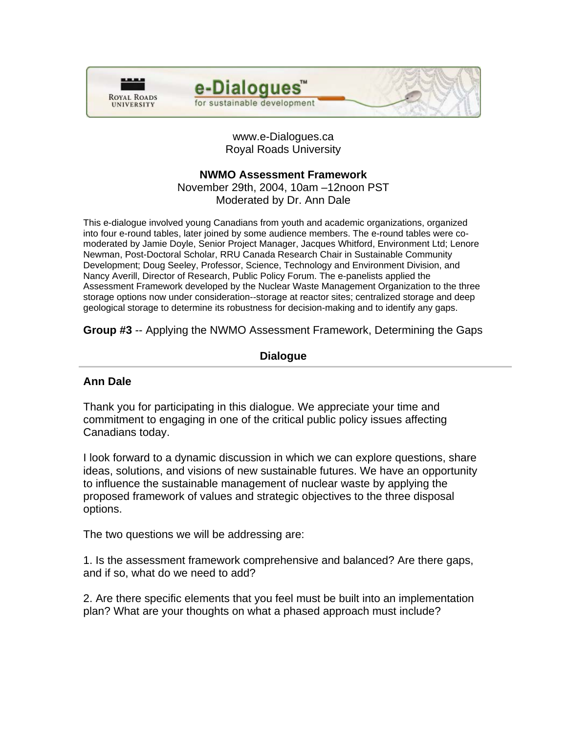



www.e-Dialogues.ca Royal Roads University

# **NWMO Assessment Framework**

November 29th, 2004, 10am –12noon PST Moderated by Dr. Ann Dale

This e-dialogue involved young Canadians from youth and academic organizations, organized into four e-round tables, later joined by some audience members. The e-round tables were comoderated by Jamie Doyle, Senior Project Manager, Jacques Whitford, Environment Ltd; Lenore Newman, Post-Doctoral Scholar, RRU Canada Research Chair in Sustainable Community Development; Doug Seeley, Professor, Science, Technology and Environment Division, and Nancy Averill, Director of Research, Public Policy Forum. The e-panelists applied the Assessment Framework developed by the Nuclear Waste Management Organization to the three storage options now under consideration--storage at reactor sites; centralized storage and deep geological storage to determine its robustness for decision-making and to identify any gaps.

**Group #3** -- Applying the NWMO Assessment Framework, Determining the Gaps

# **Dialogue**

# **Ann Dale**

Thank you for participating in this dialogue. We appreciate your time and commitment to engaging in one of the critical public policy issues affecting Canadians today.

I look forward to a dynamic discussion in which we can explore questions, share ideas, solutions, and visions of new sustainable futures. We have an opportunity to influence the sustainable management of nuclear waste by applying the proposed framework of values and strategic objectives to the three disposal options.

The two questions we will be addressing are:

1. Is the assessment framework comprehensive and balanced? Are there gaps, and if so, what do we need to add?

2. Are there specific elements that you feel must be built into an implementation plan? What are your thoughts on what a phased approach must include?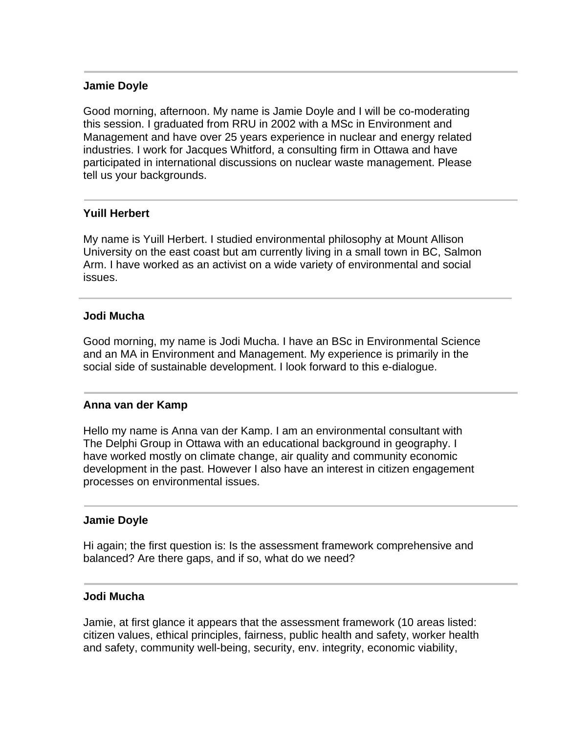## **Jamie Doyle**

Good morning, afternoon. My name is Jamie Doyle and I will be co-moderating this session. I graduated from RRU in 2002 with a MSc in Environment and Management and have over 25 years experience in nuclear and energy related industries. I work for Jacques Whitford, a consulting firm in Ottawa and have participated in international discussions on nuclear waste management. Please tell us your backgrounds.

# **Yuill Herbert**

My name is Yuill Herbert. I studied environmental philosophy at Mount Allison University on the east coast but am currently living in a small town in BC, Salmon Arm. I have worked as an activist on a wide variety of environmental and social issues.

## **Jodi Mucha**

Good morning, my name is Jodi Mucha. I have an BSc in Environmental Science and an MA in Environment and Management. My experience is primarily in the social side of sustainable development. I look forward to this e-dialogue.

### **Anna van der Kamp**

Hello my name is Anna van der Kamp. I am an environmental consultant with The Delphi Group in Ottawa with an educational background in geography. I have worked mostly on climate change, air quality and community economic development in the past. However I also have an interest in citizen engagement processes on environmental issues.

### **Jamie Doyle**

Hi again; the first question is: Is the assessment framework comprehensive and balanced? Are there gaps, and if so, what do we need?

### **Jodi Mucha**

Jamie, at first glance it appears that the assessment framework (10 areas listed: citizen values, ethical principles, fairness, public health and safety, worker health and safety, community well-being, security, env. integrity, economic viability,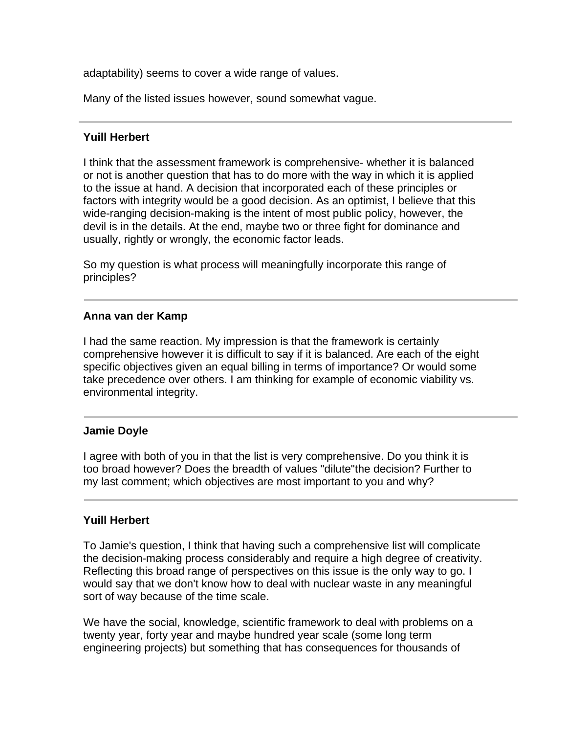adaptability) seems to cover a wide range of values.

Many of the listed issues however, sound somewhat vague.

# **Yuill Herbert**

I think that the assessment framework is comprehensive- whether it is balanced or not is another question that has to do more with the way in which it is applied to the issue at hand. A decision that incorporated each of these principles or factors with integrity would be a good decision. As an optimist, I believe that this wide-ranging decision-making is the intent of most public policy, however, the devil is in the details. At the end, maybe two or three fight for dominance and usually, rightly or wrongly, the economic factor leads.

So my question is what process will meaningfully incorporate this range of principles?

# **Anna van der Kamp**

I had the same reaction. My impression is that the framework is certainly comprehensive however it is difficult to say if it is balanced. Are each of the eight specific objectives given an equal billing in terms of importance? Or would some take precedence over others. I am thinking for example of economic viability vs. environmental integrity.

### **Jamie Doyle**

I agree with both of you in that the list is very comprehensive. Do you think it is too broad however? Does the breadth of values "dilute"the decision? Further to my last comment; which objectives are most important to you and why?

# **Yuill Herbert**

To Jamie's question, I think that having such a comprehensive list will complicate the decision-making process considerably and require a high degree of creativity. Reflecting this broad range of perspectives on this issue is the only way to go. I would say that we don't know how to deal with nuclear waste in any meaningful sort of way because of the time scale.

We have the social, knowledge, scientific framework to deal with problems on a twenty year, forty year and maybe hundred year scale (some long term engineering projects) but something that has consequences for thousands of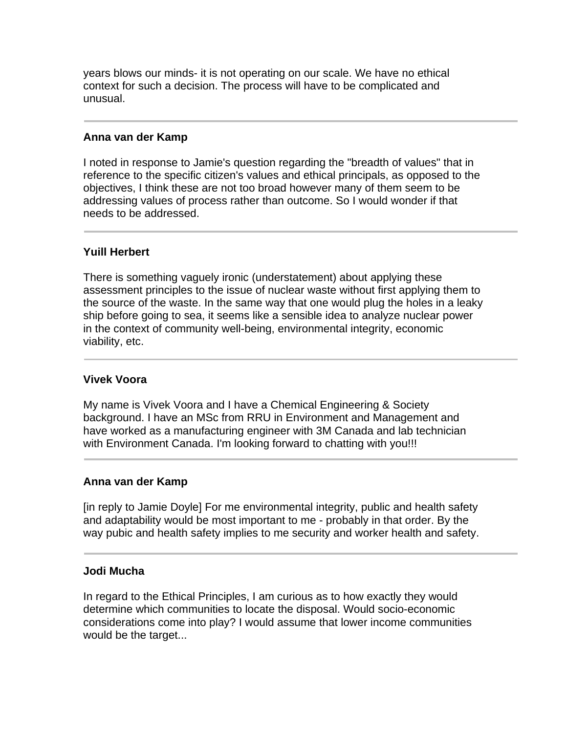years blows our minds- it is not operating on our scale. We have no ethical context for such a decision. The process will have to be complicated and unusual.

## **Anna van der Kamp**

I noted in response to Jamie's question regarding the "breadth of values" that in reference to the specific citizen's values and ethical principals, as opposed to the objectives, I think these are not too broad however many of them seem to be addressing values of process rather than outcome. So I would wonder if that needs to be addressed.

## **Yuill Herbert**

There is something vaguely ironic (understatement) about applying these assessment principles to the issue of nuclear waste without first applying them to the source of the waste. In the same way that one would plug the holes in a leaky ship before going to sea, it seems like a sensible idea to analyze nuclear power in the context of community well-being, environmental integrity, economic viability, etc.

### **Vivek Voora**

My name is Vivek Voora and I have a Chemical Engineering & Society background. I have an MSc from RRU in Environment and Management and have worked as a manufacturing engineer with 3M Canada and lab technician with Environment Canada. I'm looking forward to chatting with you!!!

### **Anna van der Kamp**

[in reply to Jamie Doyle] For me environmental integrity, public and health safety and adaptability would be most important to me - probably in that order. By the way pubic and health safety implies to me security and worker health and safety.

### **Jodi Mucha**

In regard to the Ethical Principles, I am curious as to how exactly they would determine which communities to locate the disposal. Would socio-economic considerations come into play? I would assume that lower income communities would be the target...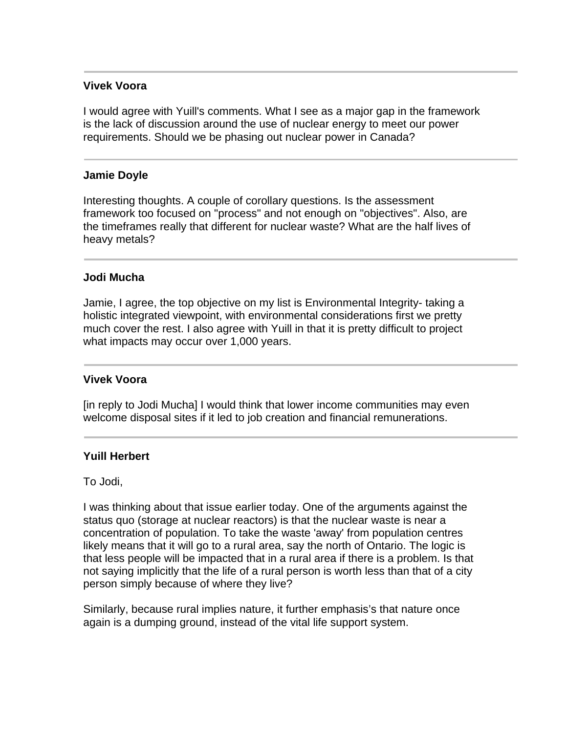### **Vivek Voora**

I would agree with Yuill's comments. What I see as a major gap in the framework is the lack of discussion around the use of nuclear energy to meet our power requirements. Should we be phasing out nuclear power in Canada?

### **Jamie Doyle**

Interesting thoughts. A couple of corollary questions. Is the assessment framework too focused on "process" and not enough on "objectives". Also, are the timeframes really that different for nuclear waste? What are the half lives of heavy metals?

#### **Jodi Mucha**

Jamie, I agree, the top objective on my list is Environmental Integrity- taking a holistic integrated viewpoint, with environmental considerations first we pretty much cover the rest. I also agree with Yuill in that it is pretty difficult to project what impacts may occur over 1,000 years.

#### **Vivek Voora**

[in reply to Jodi Mucha] I would think that lower income communities may even welcome disposal sites if it led to job creation and financial remunerations.

#### **Yuill Herbert**

To Jodi,

I was thinking about that issue earlier today. One of the arguments against the status quo (storage at nuclear reactors) is that the nuclear waste is near a concentration of population. To take the waste 'away' from population centres likely means that it will go to a rural area, say the north of Ontario. The logic is that less people will be impacted that in a rural area if there is a problem. Is that not saying implicitly that the life of a rural person is worth less than that of a city person simply because of where they live?

Similarly, because rural implies nature, it further emphasis's that nature once again is a dumping ground, instead of the vital life support system.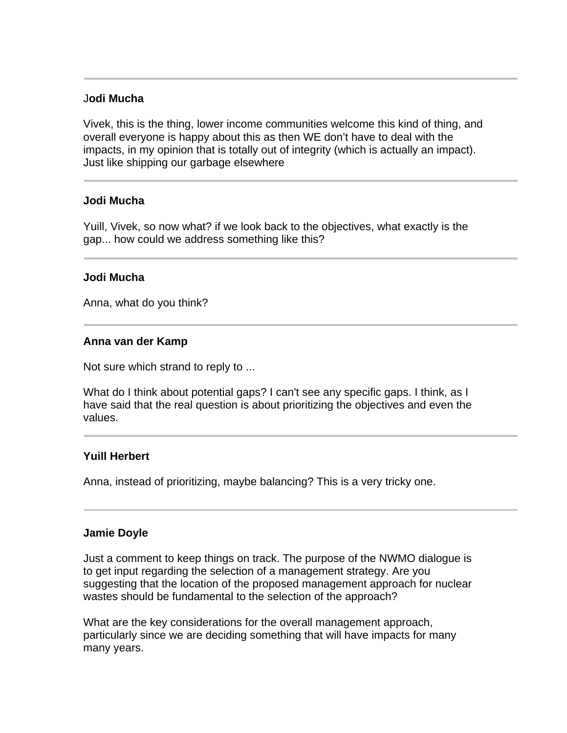### J**odi Mucha**

Vivek, this is the thing, lower income communities welcome this kind of thing, and overall everyone is happy about this as then WE don't have to deal with the impacts, in my opinion that is totally out of integrity (which is actually an impact). Just like shipping our garbage elsewhere

#### **Jodi Mucha**

Yuill, Vivek, so now what? if we look back to the objectives, what exactly is the gap... how could we address something like this?

#### **Jodi Mucha**

Anna, what do you think?

### **Anna van der Kamp**

Not sure which strand to reply to ...

What do I think about potential gaps? I can't see any specific gaps. I think, as I have said that the real question is about prioritizing the objectives and even the values.

### **Yuill Herbert**

Anna, instead of prioritizing, maybe balancing? This is a very tricky one.

#### **Jamie Doyle**

Just a comment to keep things on track. The purpose of the NWMO dialogue is to get input regarding the selection of a management strategy. Are you suggesting that the location of the proposed management approach for nuclear wastes should be fundamental to the selection of the approach?

What are the key considerations for the overall management approach, particularly since we are deciding something that will have impacts for many many years.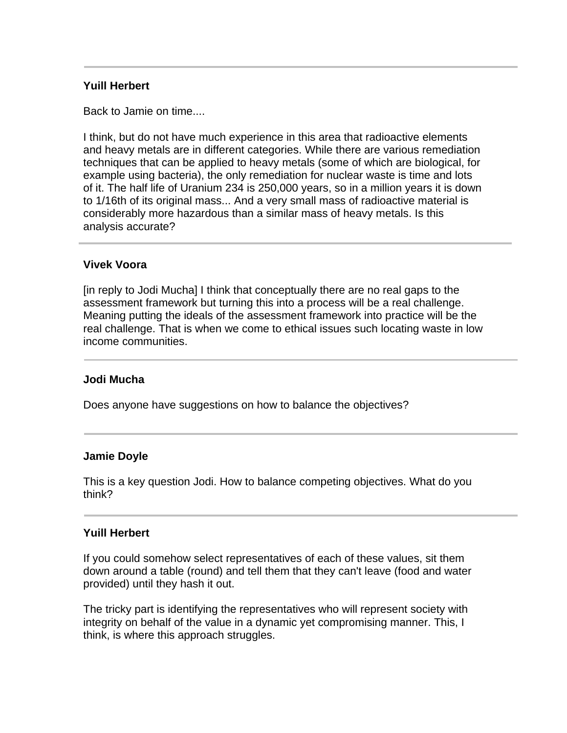## **Yuill Herbert**

Back to Jamie on time....

I think, but do not have much experience in this area that radioactive elements and heavy metals are in different categories. While there are various remediation techniques that can be applied to heavy metals (some of which are biological, for example using bacteria), the only remediation for nuclear waste is time and lots of it. The half life of Uranium 234 is 250,000 years, so in a million years it is down to 1/16th of its original mass... And a very small mass of radioactive material is considerably more hazardous than a similar mass of heavy metals. Is this analysis accurate?

#### **Vivek Voora**

[in reply to Jodi Mucha] I think that conceptually there are no real gaps to the assessment framework but turning this into a process will be a real challenge. Meaning putting the ideals of the assessment framework into practice will be the real challenge. That is when we come to ethical issues such locating waste in low income communities.

#### **Jodi Mucha**

Does anyone have suggestions on how to balance the objectives?

#### **Jamie Doyle**

This is a key question Jodi. How to balance competing objectives. What do you think?

#### **Yuill Herbert**

If you could somehow select representatives of each of these values, sit them down around a table (round) and tell them that they can't leave (food and water provided) until they hash it out.

The tricky part is identifying the representatives who will represent society with integrity on behalf of the value in a dynamic yet compromising manner. This, I think, is where this approach struggles.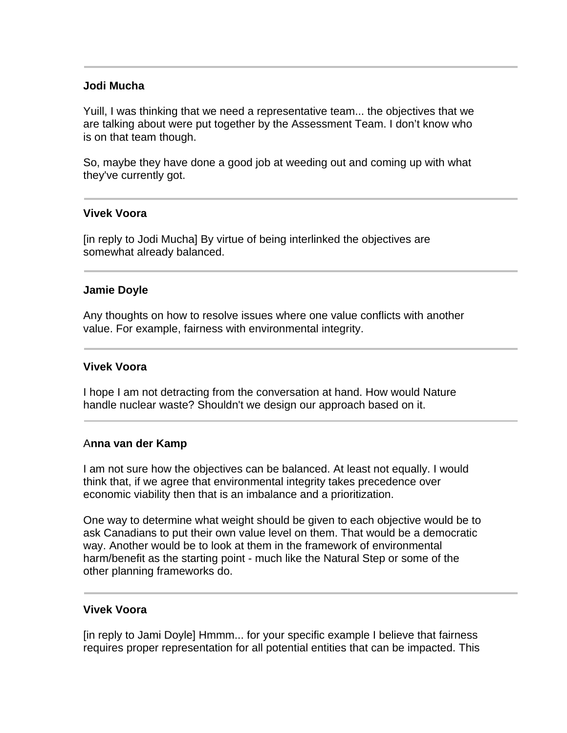## **Jodi Mucha**

Yuill, I was thinking that we need a representative team... the objectives that we are talking about were put together by the Assessment Team. I don't know who is on that team though.

So, maybe they have done a good job at weeding out and coming up with what they've currently got.

### **Vivek Voora**

[in reply to Jodi Mucha] By virtue of being interlinked the objectives are somewhat already balanced.

### **Jamie Doyle**

Any thoughts on how to resolve issues where one value conflicts with another value. For example, fairness with environmental integrity.

### **Vivek Voora**

I hope I am not detracting from the conversation at hand. How would Nature handle nuclear waste? Shouldn't we design our approach based on it.

### A**nna van der Kamp**

I am not sure how the objectives can be balanced. At least not equally. I would think that, if we agree that environmental integrity takes precedence over economic viability then that is an imbalance and a prioritization.

One way to determine what weight should be given to each objective would be to ask Canadians to put their own value level on them. That would be a democratic way. Another would be to look at them in the framework of environmental harm/benefit as the starting point - much like the Natural Step or some of the other planning frameworks do.

### **Vivek Voora**

[in reply to Jami Doyle] Hmmm... for your specific example I believe that fairness requires proper representation for all potential entities that can be impacted. This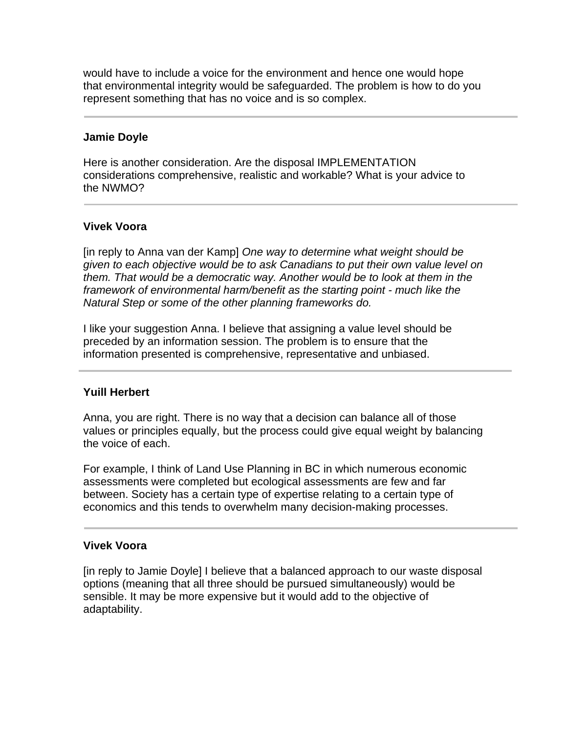would have to include a voice for the environment and hence one would hope that environmental integrity would be safeguarded. The problem is how to do you represent something that has no voice and is so complex.

## **Jamie Doyle**

Here is another consideration. Are the disposal IMPLEMENTATION considerations comprehensive, realistic and workable? What is your advice to the NWMO?

## **Vivek Voora**

[in reply to Anna van der Kamp] *One way to determine what weight should be given to each objective would be to ask Canadians to put their own value level on them. That would be a democratic way. Another would be to look at them in the framework of environmental harm/benefit as the starting point - much like the Natural Step or some of the other planning frameworks do.* 

I like your suggestion Anna. I believe that assigning a value level should be preceded by an information session. The problem is to ensure that the information presented is comprehensive, representative and unbiased.

# **Yuill Herbert**

Anna, you are right. There is no way that a decision can balance all of those values or principles equally, but the process could give equal weight by balancing the voice of each.

For example, I think of Land Use Planning in BC in which numerous economic assessments were completed but ecological assessments are few and far between. Society has a certain type of expertise relating to a certain type of economics and this tends to overwhelm many decision-making processes.

### **Vivek Voora**

[in reply to Jamie Doyle] I believe that a balanced approach to our waste disposal options (meaning that all three should be pursued simultaneously) would be sensible. It may be more expensive but it would add to the objective of adaptability.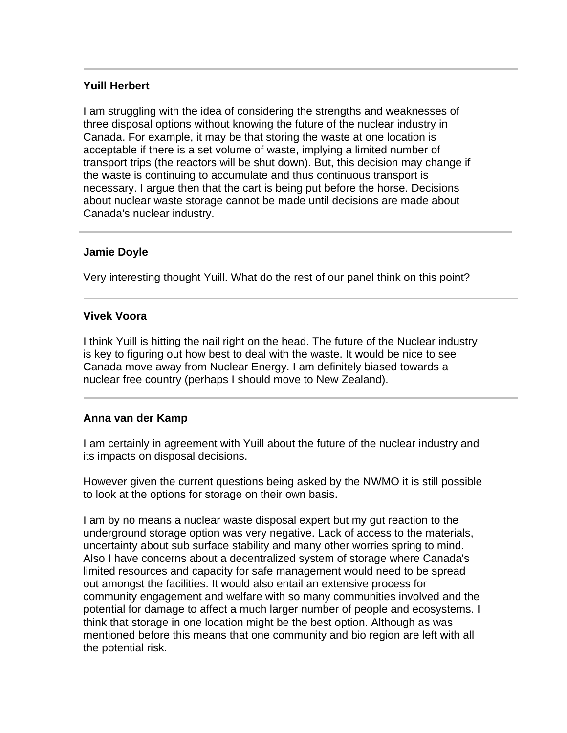# **Yuill Herbert**

I am struggling with the idea of considering the strengths and weaknesses of three disposal options without knowing the future of the nuclear industry in Canada. For example, it may be that storing the waste at one location is acceptable if there is a set volume of waste, implying a limited number of transport trips (the reactors will be shut down). But, this decision may change if the waste is continuing to accumulate and thus continuous transport is necessary. I argue then that the cart is being put before the horse. Decisions about nuclear waste storage cannot be made until decisions are made about Canada's nuclear industry.

# **Jamie Doyle**

Very interesting thought Yuill. What do the rest of our panel think on this point?

# **Vivek Voora**

I think Yuill is hitting the nail right on the head. The future of the Nuclear industry is key to figuring out how best to deal with the waste. It would be nice to see Canada move away from Nuclear Energy. I am definitely biased towards a nuclear free country (perhaps I should move to New Zealand).

# **Anna van der Kamp**

I am certainly in agreement with Yuill about the future of the nuclear industry and its impacts on disposal decisions.

However given the current questions being asked by the NWMO it is still possible to look at the options for storage on their own basis.

I am by no means a nuclear waste disposal expert but my gut reaction to the underground storage option was very negative. Lack of access to the materials, uncertainty about sub surface stability and many other worries spring to mind. Also I have concerns about a decentralized system of storage where Canada's limited resources and capacity for safe management would need to be spread out amongst the facilities. It would also entail an extensive process for community engagement and welfare with so many communities involved and the potential for damage to affect a much larger number of people and ecosystems. I think that storage in one location might be the best option. Although as was mentioned before this means that one community and bio region are left with all the potential risk.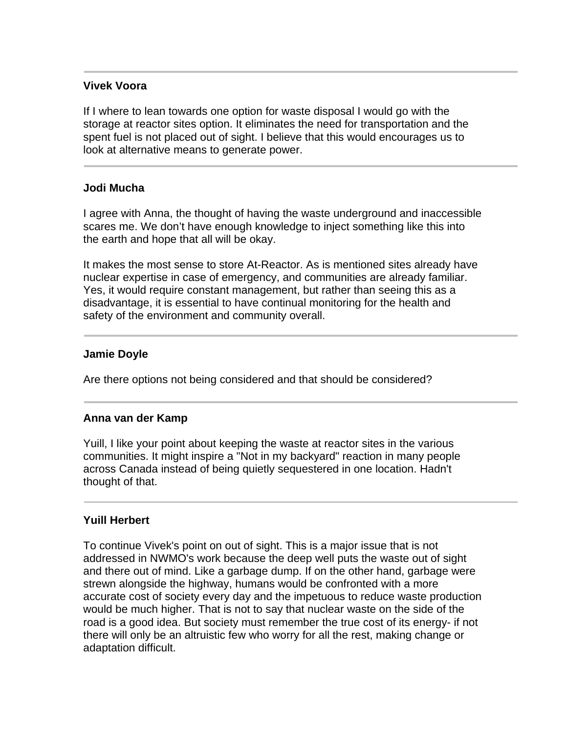## **Vivek Voora**

If I where to lean towards one option for waste disposal I would go with the storage at reactor sites option. It eliminates the need for transportation and the spent fuel is not placed out of sight. I believe that this would encourages us to look at alternative means to generate power.

### **Jodi Mucha**

I agree with Anna, the thought of having the waste underground and inaccessible scares me. We don't have enough knowledge to inject something like this into the earth and hope that all will be okay.

It makes the most sense to store At-Reactor. As is mentioned sites already have nuclear expertise in case of emergency, and communities are already familiar. Yes, it would require constant management, but rather than seeing this as a disadvantage, it is essential to have continual monitoring for the health and safety of the environment and community overall.

# **Jamie Doyle**

Are there options not being considered and that should be considered?

### **Anna van der Kamp**

Yuill, I like your point about keeping the waste at reactor sites in the various communities. It might inspire a "Not in my backyard" reaction in many people across Canada instead of being quietly sequestered in one location. Hadn't thought of that.

# **Yuill Herbert**

To continue Vivek's point on out of sight. This is a major issue that is not addressed in NWMO's work because the deep well puts the waste out of sight and there out of mind. Like a garbage dump. If on the other hand, garbage were strewn alongside the highway, humans would be confronted with a more accurate cost of society every day and the impetuous to reduce waste production would be much higher. That is not to say that nuclear waste on the side of the road is a good idea. But society must remember the true cost of its energy- if not there will only be an altruistic few who worry for all the rest, making change or adaptation difficult.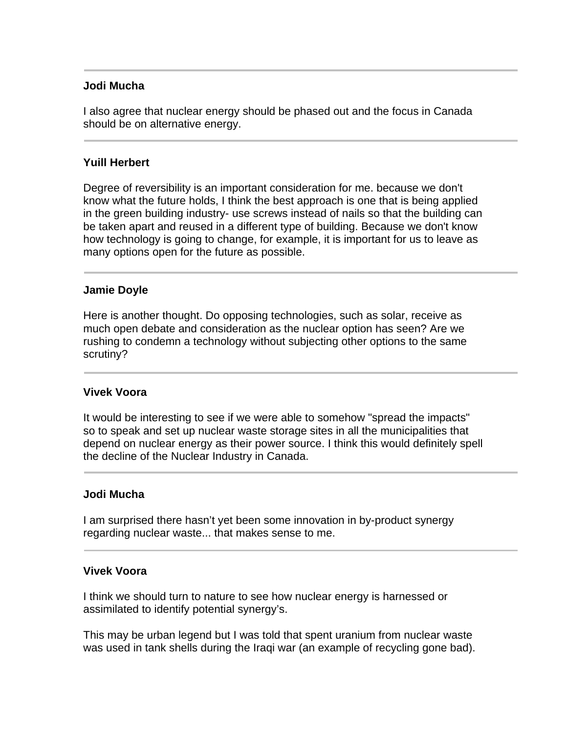## **Jodi Mucha**

I also agree that nuclear energy should be phased out and the focus in Canada should be on alternative energy.

## **Yuill Herbert**

Degree of reversibility is an important consideration for me. because we don't know what the future holds, I think the best approach is one that is being applied in the green building industry- use screws instead of nails so that the building can be taken apart and reused in a different type of building. Because we don't know how technology is going to change, for example, it is important for us to leave as many options open for the future as possible.

### **Jamie Doyle**

Here is another thought. Do opposing technologies, such as solar, receive as much open debate and consideration as the nuclear option has seen? Are we rushing to condemn a technology without subjecting other options to the same scrutiny?

### **Vivek Voora**

It would be interesting to see if we were able to somehow "spread the impacts" so to speak and set up nuclear waste storage sites in all the municipalities that depend on nuclear energy as their power source. I think this would definitely spell the decline of the Nuclear Industry in Canada.

### **Jodi Mucha**

I am surprised there hasn't yet been some innovation in by-product synergy regarding nuclear waste... that makes sense to me.

## **Vivek Voora**

I think we should turn to nature to see how nuclear energy is harnessed or assimilated to identify potential synergy's.

This may be urban legend but I was told that spent uranium from nuclear waste was used in tank shells during the Iraqi war (an example of recycling gone bad).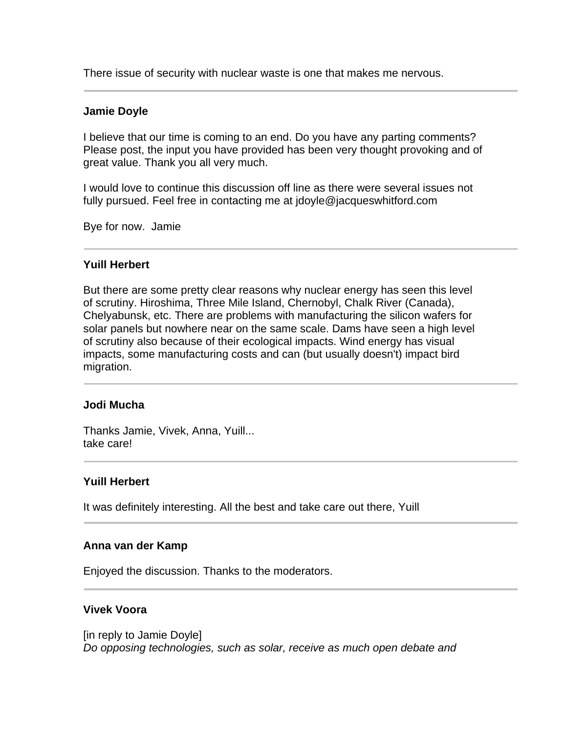There issue of security with nuclear waste is one that makes me nervous.

### **Jamie Doyle**

I believe that our time is coming to an end. Do you have any parting comments? Please post, the input you have provided has been very thought provoking and of great value. Thank you all very much.

I would love to continue this discussion off line as there were several issues not fully pursued. Feel free in contacting me at jdoyle@jacqueswhitford.com

Bye for now. Jamie

### **Yuill Herbert**

But there are some pretty clear reasons why nuclear energy has seen this level of scrutiny. Hiroshima, Three Mile Island, Chernobyl, Chalk River (Canada), Chelyabunsk, etc. There are problems with manufacturing the silicon wafers for solar panels but nowhere near on the same scale. Dams have seen a high level of scrutiny also because of their ecological impacts. Wind energy has visual impacts, some manufacturing costs and can (but usually doesn't) impact bird migration.

### **Jodi Mucha**

Thanks Jamie, Vivek, Anna, Yuill... take care!

### **Yuill Herbert**

It was definitely interesting. All the best and take care out there, Yuill

### **Anna van der Kamp**

Enjoyed the discussion. Thanks to the moderators.

## **Vivek Voora**

[in reply to Jamie Doyle] *Do opposing technologies, such as solar, receive as much open debate and*